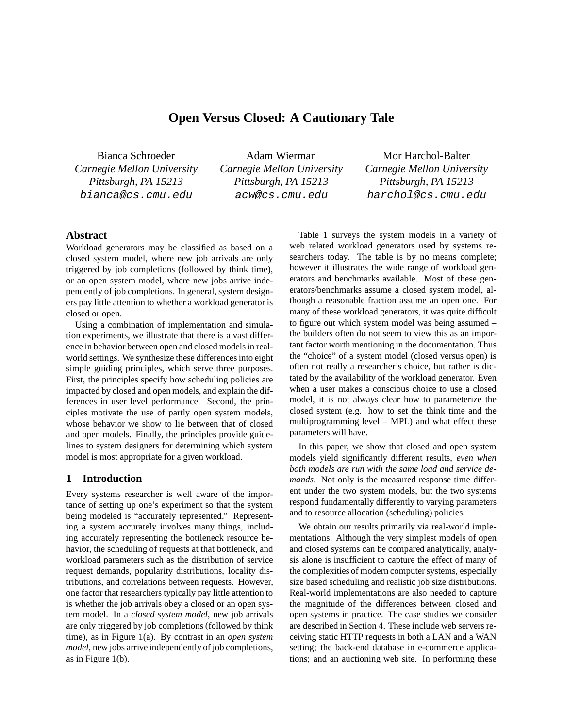# **Open Versus Closed: A Cautionary Tale**

Bianca Schroeder *Carnegie Mellon University Pittsburgh, PA 15213* bianca@cs.cmu.edu

Adam Wierman *Carnegie Mellon University Pittsburgh, PA 15213* acw@cs.cmu.edu

Mor Harchol-Balter *Carnegie Mellon University Pittsburgh, PA 15213* harchol@cs.cmu.edu

### **Abstract**

Workload generators may be classified as based on a closed system model, where new job arrivals are only triggered by job completions (followed by think time), or an open system model, where new jobs arrive independently of job completions. In general, system designers pay little attention to whether a workload generator is closed or open.

Using a combination of implementation and simulation experiments, we illustrate that there is a vast difference in behavior between open and closed models in realworld settings. We synthesize these differences into eight simple guiding principles, which serve three purposes. First, the principles specify how scheduling policies are impacted by closed and open models, and explain the differences in user level performance. Second, the principles motivate the use of partly open system models, whose behavior we show to lie between that of closed and open models. Finally, the principles provide guidelines to system designers for determining which system model is most appropriate for a given workload.

### **1 Introduction**

Every systems researcher is well aware of the importance of setting up one's experiment so that the system being modeled is "accurately represented." Representing a system accurately involves many things, including accurately representing the bottleneck resource behavior, the scheduling of requests at that bottleneck, and workload parameters such as the distribution of service request demands, popularity distributions, locality distributions, and correlations between requests. However, one factor that researchers typically pay little attention to is whether the job arrivals obey a closed or an open system model. In a *closed system model*, new job arrivals are only triggered by job completions (followed by think time), as in Figure 1(a). By contrast in an *open system model*, new jobs arrive independently of job completions, as in Figure 1(b).

Table 1 surveys the system models in a variety of web related workload generators used by systems researchers today. The table is by no means complete; however it illustrates the wide range of workload generators and benchmarks available. Most of these generators/benchmarks assume a closed system model, although a reasonable fraction assume an open one. For many of these workload generators, it was quite difficult to figure out which system model was being assumed – the builders often do not seem to view this as an important factor worth mentioning in the documentation. Thus the "choice" of a system model (closed versus open) is often not really a researcher's choice, but rather is dictated by the availability of the workload generator. Even when a user makes a conscious choice to use a closed model, it is not always clear how to parameterize the closed system (e.g. how to set the think time and the multiprogramming level – MPL) and what effect these parameters will have.

In this paper, we show that closed and open system models yield significantly different results, *even when both models are run with the same load and service demands*. Not only is the measured response time different under the two system models, but the two systems respond fundamentally differently to varying parameters and to resource allocation (scheduling) policies.

We obtain our results primarily via real-world implementations. Although the very simplest models of open and closed systems can be compared analytically, analysis alone is insufficient to capture the effect of many of the complexities of modern computer systems, especially size based scheduling and realistic job size distributions. Real-world implementations are also needed to capture the magnitude of the differences between closed and open systems in practice. The case studies we consider are described in Section 4. These include web servers receiving static HTTP requests in both a LAN and a WAN setting; the back-end database in e-commerce applications; and an auctioning web site. In performing these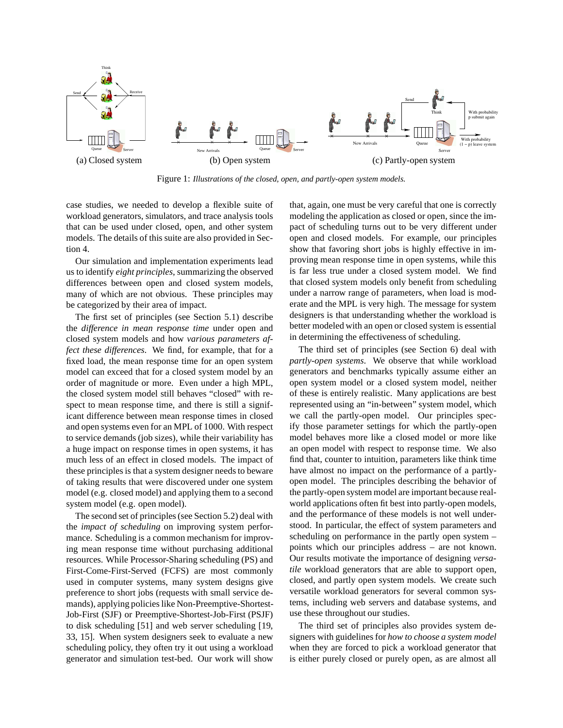

Figure 1: *Illustrations of the closed, open, and partly-open system models.*

case studies, we needed to develop a flexible suite of workload generators, simulators, and trace analysis tools that can be used under closed, open, and other system models. The details of this suite are also provided in Section 4.

Our simulation and implementation experiments lead us to identify *eight principles*, summarizing the observed differences between open and closed system models, many of which are not obvious. These principles may be categorized by their area of impact.

The first set of principles (see Section 5.1) describe the *difference in mean response time* under open and closed system models and how *various parameters affect these differences*. We find, for example, that for a fixed load, the mean response time for an open system model can exceed that for a closed system model by an order of magnitude or more. Even under a high MPL, the closed system model still behaves "closed" with respect to mean response time, and there is still a significant difference between mean response times in closed and open systems even for an MPL of 1000. With respect to service demands (job sizes), while their variability has a huge impact on response times in open systems, it has much less of an effect in closed models. The impact of these principles is that a system designer needs to beware of taking results that were discovered under one system model (e.g. closed model) and applying them to a second system model (e.g. open model).

The second set of principles (see Section 5.2) deal with the *impact of scheduling* on improving system performance. Scheduling is a common mechanism for improving mean response time without purchasing additional resources. While Processor-Sharing scheduling (PS) and First-Come-First-Served (FCFS) are most commonly used in computer systems, many system designs give preference to short jobs (requests with small service demands), applying policies like Non-Preemptive-Shortest-Job-First (SJF) or Preemptive-Shortest-Job-First (PSJF) to disk scheduling [51] and web server scheduling [19, 33, 15]. When system designers seek to evaluate a new scheduling policy, they often try it out using a workload generator and simulation test-bed. Our work will show that, again, one must be very careful that one is correctly modeling the application as closed or open, since the impact of scheduling turns out to be very different under open and closed models. For example, our principles show that favoring short jobs is highly effective in improving mean response time in open systems, while this is far less true under a closed system model. We find that closed system models only benefit from scheduling under a narrow range of parameters, when load is moderate and the MPL is very high. The message for system designers is that understanding whether the workload is better modeled with an open or closed system is essential in determining the effectiveness of scheduling.

The third set of principles (see Section 6) deal with *partly-open systems*. We observe that while workload generators and benchmarks typically assume either an open system model or a closed system model, neither of these is entirely realistic. Many applications are best represented using an "in-between" system model, which we call the partly-open model. Our principles specify those parameter settings for which the partly-open model behaves more like a closed model or more like an open model with respect to response time. We also find that, counter to intuition, parameters like think time have almost no impact on the performance of a partlyopen model. The principles describing the behavior of the partly-open system model are important because realworld applications often fit best into partly-open models, and the performance of these models is not well understood. In particular, the effect of system parameters and scheduling on performance in the partly open system – points which our principles address – are not known. Our results motivate the importance of designing *versatile* workload generators that are able to support open, closed, and partly open system models. We create such versatile workload generators for several common systems, including web servers and database systems, and use these throughout our studies.

The third set of principles also provides system designers with guidelines for *how to choose a system model* when they are forced to pick a workload generator that is either purely closed or purely open, as are almost all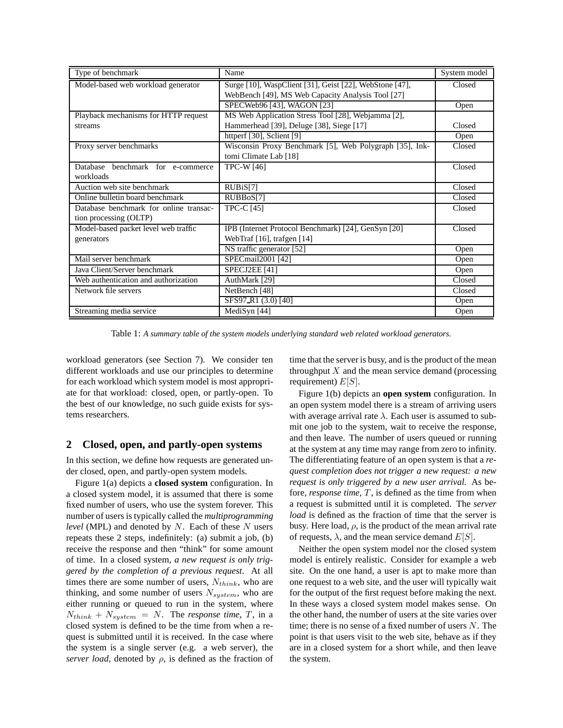| Type of benchmark                      | Name                                                    | System model |
|----------------------------------------|---------------------------------------------------------|--------------|
| Model-based web workload generator     | Surge [10], WaspClient [31], Geist [22], WebStone [47], | Closed       |
|                                        | WebBench [49], MS Web Capacity Analysis Tool [27]       |              |
|                                        | SPECWeb96 [43], WAGON [23]                              | Open         |
| Playback mechanisms for HTTP request   | MS Web Application Stress Tool [28], Webjamma [2],      |              |
| streams                                | Hammerhead [39], Deluge [38], Siege [17]                | Closed       |
|                                        | httperf [30], Sclient [9]                               | Open         |
| Proxy server benchmarks                | Wisconsin Proxy Benchmark [5], Web Polygraph [35], Ink- | Closed       |
|                                        | tomi Climate Lab [18]                                   |              |
| Database benchmark for e-commerce      | <b>TPC-W</b> [46]                                       | Closed       |
| workloads                              |                                                         |              |
| Auction web site benchmark             | RUB <sub>i</sub> S[7]                                   | Closed       |
| Online bulletin board benchmark        | RUBBoS[7]                                               | Closed       |
| Database benchmark for online transac- | <b>TPC-C</b> [45]                                       | Closed       |
| tion processing (OLTP)                 |                                                         |              |
| Model-based packet level web traffic   | IPB (Internet Protocol Benchmark) [24], GenSyn [20]     | Closed       |
| generators                             | WebTraf [16], trafgen [14]                              |              |
|                                        | NS traffic generator [52]                               | Open         |
| Mail server benchmark                  | SPECmail2001 [42]                                       | Open         |
| Java Client/Server benchmark           | SPECJ2EE [41]                                           | Open         |
| Web authentication and authorization   | AuthMark [29]                                           | Closed       |
| Network file servers                   | NetBench [48]                                           | Closed       |
|                                        | SFS97_R1 (3.0) [40]                                     | Open         |
| Streaming media service                | MediSyn [44]                                            | Open         |

Table 1: *A summary table of the system models underlying standard web related workload generators.*

workload generators (see Section 7). We consider ten different workloads and use our principles to determine for each workload which system model is most appropriate for that workload: closed, open, or partly-open. To the best of our knowledge, no such guide exists for systems researchers.

### **2 Closed, open, and partly-open systems**

In this section, we define how requests are generated under closed, open, and partly-open system models.

Figure 1(a) depicts a **closed system** configuration. In a closed system model, it is assumed that there is some fixed number of users, who use the system forever. This number of users is typically called the *multiprogramming level* (MPL) and denoted by N. Each of these N users repeats these 2 steps, indefinitely: (a) submit a job, (b) receive the response and then "think" for some amount of time. In a closed system, *a new request is only triggered by the completion of a previous request*. At all times there are some number of users,  $N_{think}$ , who are thinking, and some number of users  $N_{system}$ , who are either running or queued to run in the system, where  $N_{think} + N_{system} = N$ . The *response time*, T, in a closed system is defined to be the time from when a request is submitted until it is received. In the case where the system is a single server (e.g. a web server), the *server load*, denoted by  $\rho$ , is defined as the fraction of time that the server is busy, and is the product of the mean throughput  $X$  and the mean service demand (processing requirement)  $E[S]$ .

Figure 1(b) depicts an **open system** configuration. In an open system model there is a stream of arriving users with average arrival rate  $\lambda$ . Each user is assumed to submit one job to the system, wait to receive the response, and then leave. The number of users queued or running at the system at any time may range from zero to infinity. The differentiating feature of an open system is that a *request completion does not trigger a new request: a new request is only triggered by a new user arrival.* As before, *response time*, T, is defined as the time from when a request is submitted until it is completed. The *server load* is defined as the fraction of time that the server is busy. Here load,  $\rho$ , is the product of the mean arrival rate of requests,  $\lambda$ , and the mean service demand  $E[S]$ .

Neither the open system model nor the closed system model is entirely realistic. Consider for example a web site. On the one hand, a user is apt to make more than one request to a web site, and the user will typically wait for the output of the first request before making the next. In these ways a closed system model makes sense. On the other hand, the number of users at the site varies over time; there is no sense of a fixed number of users  $N$ . The point is that users visit to the web site, behave as if they are in a closed system for a short while, and then leave the system.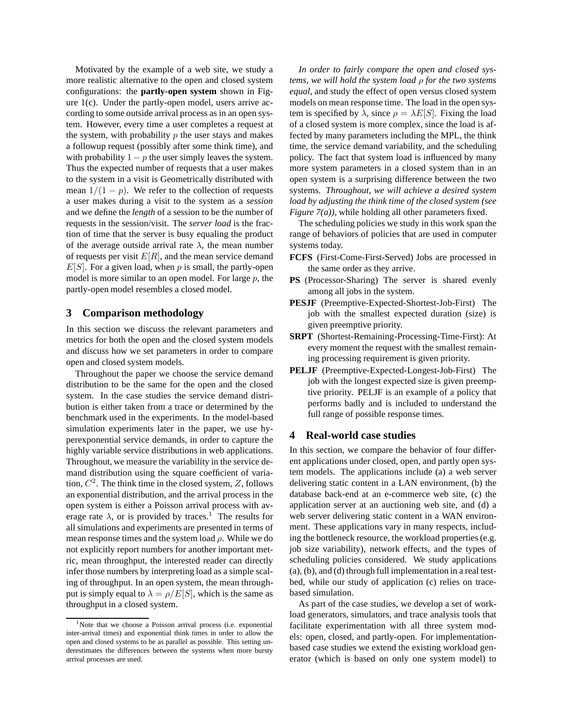Motivated by the example of a web site, we study a more realistic alternative to the open and closed system configurations: the **partly-open system** shown in Figure 1(c). Under the partly-open model, users arrive according to some outside arrival process as in an open system. However, every time a user completes a request at the system, with probability  $p$  the user stays and makes a followup request (possibly after some think time), and with probability  $1 - p$  the user simply leaves the system. Thus the expected number of requests that a user makes to the system in a visit is Geometrically distributed with mean  $1/(1 - p)$ . We refer to the collection of requests a user makes during a visit to the system as a *session* and we define the *length* of a session to be the number of requests in the session/visit. The *server load* is the fraction of time that the server is busy equaling the product of the average outside arrival rate  $\lambda$ , the mean number of requests per visit  $E[R]$ , and the mean service demand  $E[S]$ . For a given load, when p is small, the partly-open model is more similar to an open model. For large  $p$ , the partly-open model resembles a closed model.

### **3 Comparison methodology**

In this section we discuss the relevant parameters and metrics for both the open and the closed system models and discuss how we set parameters in order to compare open and closed system models.

Throughout the paper we choose the service demand distribution to be the same for the open and the closed system. In the case studies the service demand distribution is either taken from a trace or determined by the benchmark used in the experiments. In the model-based simulation experiments later in the paper, we use hyperexponential service demands, in order to capture the highly variable service distributions in web applications. Throughout, we measure the variability in the service demand distribution using the square coefficient of variation,  $C^2$ . The think time in the closed system, Z, follows an exponential distribution, and the arrival process in the open system is either a Poisson arrival process with average rate  $\lambda$ , or is provided by traces.<sup>1</sup> The results for all simulations and experiments are presented in terms of mean response times and the system load  $\rho$ . While we do not explicitly report numbers for another important metric, mean throughput, the interested reader can directly infer those numbers by interpreting load as a simple scaling of throughput. In an open system, the mean throughput is simply equal to  $\lambda = \rho/E[S]$ , which is the same as throughput in a closed system.

*In order to fairly compare the open and closed systems, we will hold the system load* ρ *for the two systems equal,* and study the effect of open versus closed system models on mean response time. The load in the open system is specified by  $\lambda$ , since  $\rho = \lambda E[S]$ . Fixing the load of a closed system is more complex, since the load is affected by many parameters including the MPL, the think time, the service demand variability, and the scheduling policy. The fact that system load is influenced by many more system parameters in a closed system than in an open system is a surprising difference between the two systems. *Throughout, we will achieve a desired system load by adjusting the think time of the closed system (see Figure 7(a))*, while holding all other parameters fixed.

The scheduling policies we study in this work span the range of behaviors of policies that are used in computer systems today.

- **FCFS** (First-Come-First-Served) Jobs are processed in the same order as they arrive.
- **PS** (Processor-Sharing) The server is shared evenly among all jobs in the system.
- **PESJF** (Preemptive-Expected-Shortest-Job-First) The job with the smallest expected duration (size) is given preemptive priority.
- **SRPT** (Shortest-Remaining-Processing-Time-First): At every moment the request with the smallest remaining processing requirement is given priority.
- **PELJF** (Preemptive-Expected-Longest-Job-First) The job with the longest expected size is given preemptive priority. PELJF is an example of a policy that performs badly and is included to understand the full range of possible response times.

#### **4 Real-world case studies**

In this section, we compare the behavior of four different applications under closed, open, and partly open system models. The applications include (a) a web server delivering static content in a LAN environment, (b) the database back-end at an e-commerce web site, (c) the application server at an auctioning web site, and (d) a web server delivering static content in a WAN environment. These applications vary in many respects, including the bottleneck resource, the workload properties (e.g. job size variability), network effects, and the types of scheduling policies considered. We study applications (a), (b), and (d) through full implementation in a real testbed, while our study of application (c) relies on tracebased simulation.

As part of the case studies, we develop a set of workload generators, simulators, and trace analysis tools that facilitate experimentation with all three system models: open, closed, and partly-open. For implementationbased case studies we extend the existing workload generator (which is based on only one system model) to

<sup>&</sup>lt;sup>1</sup>Note that we choose a Poisson arrival process (i.e. exponential inter-arrival times) and exponential think times in order to allow the open and closed systems to be as parallel as possible. This setting underestimates the differences between the systems when more bursty arrival processes are used.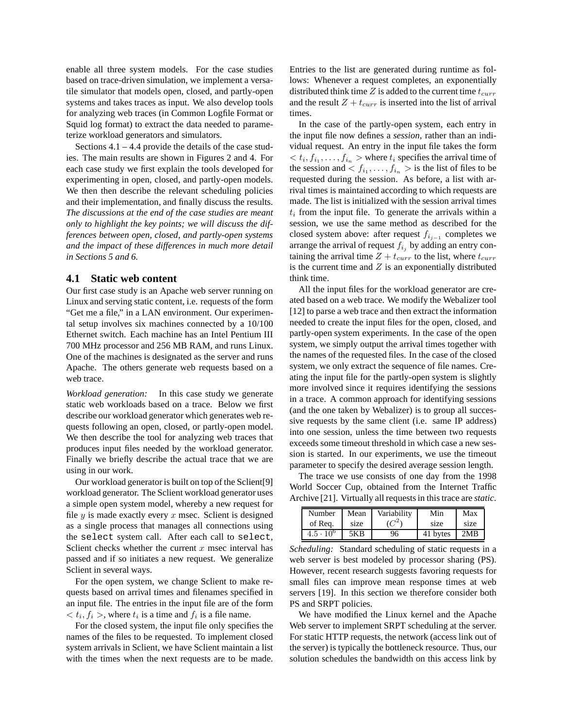enable all three system models. For the case studies based on trace-driven simulation, we implement a versatile simulator that models open, closed, and partly-open systems and takes traces as input. We also develop tools for analyzing web traces (in Common Logfile Format or Squid log format) to extract the data needed to parameterize workload generators and simulators.

Sections  $4.1 - 4.4$  provide the details of the case studies. The main results are shown in Figures 2 and 4. For each case study we first explain the tools developed for experimenting in open, closed, and partly-open models. We then then describe the relevant scheduling policies and their implementation, and finally discuss the results. *The discussions at the end of the case studies are meant only to highlight the key points; we will discuss the differences between open, closed, and partly-open systems and the impact of these differences in much more detail in Sections 5 and 6.*

### **4.1 Static web content**

Our first case study is an Apache web server running on Linux and serving static content, i.e. requests of the form "Get me a file," in a LAN environment. Our experimental setup involves six machines connected by a 10/100 Ethernet switch. Each machine has an Intel Pentium III 700 MHz processor and 256 MB RAM, and runs Linux. One of the machines is designated as the server and runs Apache. The others generate web requests based on a web trace.

*Workload generation:* In this case study we generate static web workloads based on a trace. Below we first describe our workload generator which generates web requests following an open, closed, or partly-open model. We then describe the tool for analyzing web traces that produces input files needed by the workload generator. Finally we briefly describe the actual trace that we are using in our work.

Our workload generator is built on top of the Sclient[9] workload generator. The Sclient workload generator uses a simple open system model, whereby a new request for file  $y$  is made exactly every  $x$  msec. Sclient is designed as a single process that manages all connections using the select system call. After each call to select, Sclient checks whether the current  $x$  msec interval has passed and if so initiates a new request. We generalize Sclient in several ways.

For the open system, we change Sclient to make requests based on arrival times and filenames specified in an input file. The entries in the input file are of the form  $\langle t_i, f_i \rangle$ , where  $t_i$  is a time and  $f_i$  is a file name.

For the closed system, the input file only specifies the names of the files to be requested. To implement closed system arrivals in Sclient, we have Sclient maintain a list with the times when the next requests are to be made. Entries to the list are generated during runtime as follows: Whenever a request completes, an exponentially distributed think time Z is added to the current time  $t_{curr}$ and the result  $Z + t_{curr}$  is inserted into the list of arrival times.

In the case of the partly-open system, each entry in the input file now defines a *session*, rather than an individual request. An entry in the input file takes the form  $\langle t_i, f_{i_1}, \ldots, f_{i_n} \rangle$  where  $t_i$  specifies the arrival time of the session and  $\langle f_{i_1}, \ldots, f_{i_n} \rangle$  is the list of files to be requested during the session. As before, a list with arrival times is maintained according to which requests are made. The list is initialized with the session arrival times  $t_i$  from the input file. To generate the arrivals within a session, we use the same method as described for the closed system above: after request  $f_{i_{j-1}}$  completes we arrange the arrival of request  $f_{i_j}$  by adding an entry containing the arrival time  $Z + t_{curr}$  to the list, where  $t_{curr}$ is the current time and  $Z$  is an exponentially distributed think time.

All the input files for the workload generator are created based on a web trace. We modify the Webalizer tool [12] to parse a web trace and then extract the information needed to create the input files for the open, closed, and partly-open system experiments. In the case of the open system, we simply output the arrival times together with the names of the requested files. In the case of the closed system, we only extract the sequence of file names. Creating the input file for the partly-open system is slightly more involved since it requires identifying the sessions in a trace. A common approach for identifying sessions (and the one taken by Webalizer) is to group all successive requests by the same client (i.e. same IP address) into one session, unless the time between two requests exceeds some timeout threshold in which case a new session is started. In our experiments, we use the timeout parameter to specify the desired average session length.

The trace we use consists of one day from the 1998 World Soccer Cup, obtained from the Internet Traffic Archive [21]. Virtually all requests in this trace are *static*.

| Number           | Mean | Variability | Min      | Max  |
|------------------|------|-------------|----------|------|
| of Rea.          | size |             | size     | size |
| $4.5 \cdot 10^6$ | 5KB  | 96          | 41 bytes | 2MB  |

*Scheduling:* Standard scheduling of static requests in a web server is best modeled by processor sharing (PS). However, recent research suggests favoring requests for small files can improve mean response times at web servers [19]. In this section we therefore consider both PS and SRPT policies.

We have modified the Linux kernel and the Apache Web server to implement SRPT scheduling at the server. For static HTTP requests, the network (access link out of the server) is typically the bottleneck resource. Thus, our solution schedules the bandwidth on this access link by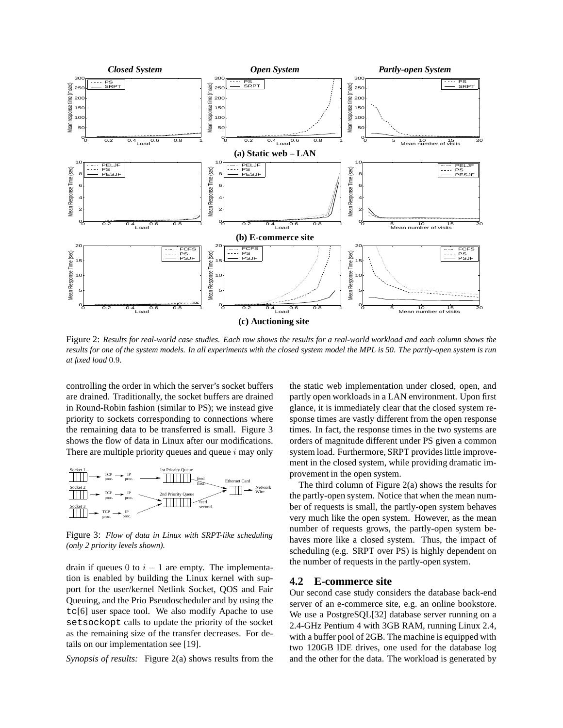

Figure 2: *Results for real-world case studies. Each row shows the results for a real-world workload and each column shows the results for one of the system models. In all experiments with the closed system model the MPL is 50. The partly-open system is run at fixed load* 0.9*.*

controlling the order in which the server's socket buffers are drained. Traditionally, the socket buffers are drained in Round-Robin fashion (similar to PS); we instead give priority to sockets corresponding to connections where the remaining data to be transferred is small. Figure 3 shows the flow of data in Linux after our modifications. There are multiple priority queues and queue  $i$  may only



Figure 3: *Flow of data in Linux with SRPT-like scheduling (only 2 priority levels shown).*

drain if queues 0 to  $i - 1$  are empty. The implementation is enabled by building the Linux kernel with support for the user/kernel Netlink Socket, QOS and Fair Queuing, and the Prio Pseudoscheduler and by using the tc[6] user space tool. We also modify Apache to use setsockopt calls to update the priority of the socket as the remaining size of the transfer decreases. For details on our implementation see [19].

*Synopsis of results:* Figure 2(a) shows results from the

the static web implementation under closed, open, and partly open workloads in a LAN environment. Upon first glance, it is immediately clear that the closed system response times are vastly different from the open response times. In fact, the response times in the two systems are orders of magnitude different under PS given a common system load. Furthermore, SRPT provides little improvement in the closed system, while providing dramatic improvement in the open system.

The third column of Figure 2(a) shows the results for the partly-open system. Notice that when the mean number of requests is small, the partly-open system behaves very much like the open system. However, as the mean number of requests grows, the partly-open system behaves more like a closed system. Thus, the impact of scheduling (e.g. SRPT over PS) is highly dependent on the number of requests in the partly-open system.

#### **4.2 E-commerce site**

Our second case study considers the database back-end server of an e-commerce site, e.g. an online bookstore. We use a PostgreSQL[32] database server running on a 2.4-GHz Pentium 4 with 3GB RAM, running Linux 2.4, with a buffer pool of 2GB. The machine is equipped with two 120GB IDE drives, one used for the database log and the other for the data. The workload is generated by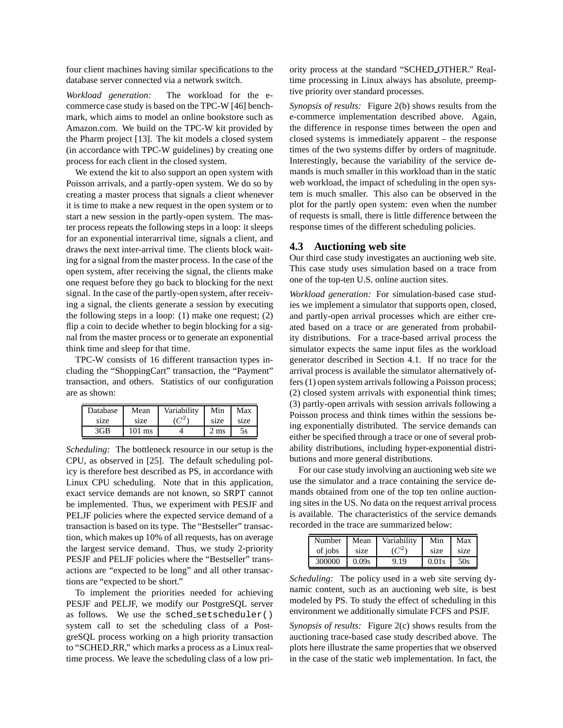four client machines having similar specifications to the database server connected via a network switch.

*Workload generation:* The workload for the ecommerce case study is based on the TPC-W [46] benchmark, which aims to model an online bookstore such as Amazon.com. We build on the TPC-W kit provided by the Pharm project [13]. The kit models a closed system (in accordance with TPC-W guidelines) by creating one process for each client in the closed system.

We extend the kit to also support an open system with Poisson arrivals, and a partly-open system. We do so by creating a master process that signals a client whenever it is time to make a new request in the open system or to start a new session in the partly-open system. The master process repeats the following steps in a loop: it sleeps for an exponential interarrival time, signals a client, and draws the next inter-arrival time. The clients block waiting for a signal from the master process. In the case of the open system, after receiving the signal, the clients make one request before they go back to blocking for the next signal. In the case of the partly-open system, after receiving a signal, the clients generate a session by executing the following steps in a loop: (1) make one request; (2) flip a coin to decide whether to begin blocking for a signal from the master process or to generate an exponential think time and sleep for that time.

TPC-W consists of 16 different transaction types including the "ShoppingCart" transaction, the "Payment" transaction, and others. Statistics of our configuration are as shown:

| Database | Mean             | Variability | Min  | Max  |
|----------|------------------|-------------|------|------|
| size     | size             | $C^2$       | size | size |
| 3GB      | $101 \text{ ms}$ |             | 2 ms | 5s   |

*Scheduling:* The bottleneck resource in our setup is the CPU, as observed in [25]. The default scheduling policy is therefore best described as PS, in accordance with Linux CPU scheduling. Note that in this application, exact service demands are not known, so SRPT cannot be implemented. Thus, we experiment with PESJF and PELJF policies where the expected service demand of a transaction is based on its type. The "Bestseller" transaction, which makes up 10% of all requests, has on average the largest service demand. Thus, we study 2-priority PESJF and PELJF policies where the "Bestseller" transactions are "expected to be long" and all other transactions are "expected to be short."

To implement the priorities needed for achieving PESJF and PELJF, we modify our PostgreSQL server as follows. We use the sched setscheduler() system call to set the scheduling class of a PostgreSQL process working on a high priority transaction to "SCHED RR," which marks a process as a Linux realtime process. We leave the scheduling class of a low priority process at the standard "SCHED OTHER." Realtime processing in Linux always has absolute, preemptive priority over standard processes.

*Synopsis of results:* Figure 2(b) shows results from the e-commerce implementation described above. Again, the difference in response times between the open and closed systems is immediately apparent – the response times of the two systems differ by orders of magnitude. Interestingly, because the variability of the service demands is much smaller in this workload than in the static web workload, the impact of scheduling in the open system is much smaller. This also can be observed in the plot for the partly open system: even when the number of requests is small, there is little difference between the response times of the different scheduling policies.

### **4.3 Auctioning web site**

Our third case study investigates an auctioning web site. This case study uses simulation based on a trace from one of the top-ten U.S. online auction sites.

*Workload generation:* For simulation-based case studies we implement a simulator that supports open, closed, and partly-open arrival processes which are either created based on a trace or are generated from probability distributions. For a trace-based arrival process the simulator expects the same input files as the workload generator described in Section 4.1. If no trace for the arrival process is available the simulator alternatively offers (1) open system arrivals following a Poisson process; (2) closed system arrivals with exponential think times; (3) partly-open arrivals with session arrivals following a Poisson process and think times within the sessions being exponentially distributed. The service demands can either be specified through a trace or one of several probability distributions, including hyper-exponential distributions and more general distributions.

For our case study involving an auctioning web site we use the simulator and a trace containing the service demands obtained from one of the top ten online auctioning sites in the US. No data on the request arrival process is available. The characteristics of the service demands recorded in the trace are summarized below:

| Number  | Mean  | Variability | Min   | Max  |
|---------|-------|-------------|-------|------|
| of jobs | size  | ے م         | size  | size |
| 300000  | 0.09s | 9.19        | 0.01s | 50s  |

*Scheduling:* The policy used in a web site serving dynamic content, such as an auctioning web site, is best modeled by PS. To study the effect of scheduling in this environment we additionally simulate FCFS and PSJF.

*Synopsis of results:* Figure 2(c) shows results from the auctioning trace-based case study described above. The plots here illustrate the same properties that we observed in the case of the static web implementation. In fact, the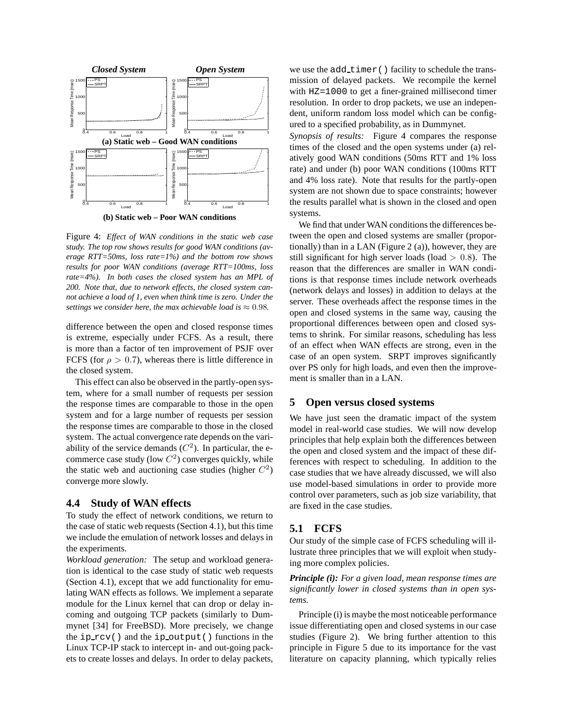

**(b) Static web – Poor WAN conditions**

Figure 4: *Effect of WAN conditions in the static web case study. The top row shows results for good WAN conditions (average RTT=50ms, loss rate=1%) and the bottom row shows results for poor WAN conditions (average RTT=100ms, loss rate=4%). In both cases the closed system has an MPL of 200. Note that, due to network effects, the closed system cannot achieve a load of 1, even when think time is zero. Under the settings we consider here, the max achievable load is*  $\approx 0.98$ *.* 

difference between the open and closed response times is extreme, especially under FCFS. As a result, there is more than a factor of ten improvement of PSJF over FCFS (for  $\rho > 0.7$ ), whereas there is little difference in the closed system.

This effect can also be observed in the partly-open system, where for a small number of requests per session the response times are comparable to those in the open system and for a large number of requests per session the response times are comparable to those in the closed system. The actual convergence rate depends on the variability of the service demands  $(C^2)$ . In particular, the ecommerce case study (low  $C^2$ ) converges quickly, while the static web and auctioning case studies (higher  $C^2$ ) converge more slowly.

#### **4.4 Study of WAN effects**

To study the effect of network conditions, we return to the case of static web requests (Section 4.1), but this time we include the emulation of network losses and delays in the experiments.

*Workload generation:* The setup and workload generation is identical to the case study of static web requests (Section 4.1), except that we add functionality for emulating WAN effects as follows. We implement a separate module for the Linux kernel that can drop or delay incoming and outgoing TCP packets (similarly to Dummynet [34] for FreeBSD). More precisely, we change the ip rcv() and the ip output() functions in the Linux TCP-IP stack to intercept in- and out-going packets to create losses and delays. In order to delay packets, we use the add\_timer() facility to schedule the transmission of delayed packets. We recompile the kernel with HZ=1000 to get a finer-grained millisecond timer resolution. In order to drop packets, we use an independent, uniform random loss model which can be configured to a specified probability, as in Dummynet.

*Synopsis of results:* Figure 4 compares the response times of the closed and the open systems under (a) relatively good WAN conditions (50ms RTT and 1% loss rate) and under (b) poor WAN conditions (100ms RTT and 4% loss rate). Note that results for the partly-open system are not shown due to space constraints; however the results parallel what is shown in the closed and open systems.

We find that under WAN conditions the differences between the open and closed systems are smaller (proportionally) than in a LAN (Figure 2 (a)), however, they are still significant for high server loads (load  $> 0.8$ ). The reason that the differences are smaller in WAN conditions is that response times include network overheads (network delays and losses) in addition to delays at the server. These overheads affect the response times in the open and closed systems in the same way, causing the proportional differences between open and closed systems to shrink. For similar reasons, scheduling has less of an effect when WAN effects are strong, even in the case of an open system. SRPT improves significantly over PS only for high loads, and even then the improvement is smaller than in a LAN.

### **5 Open versus closed systems**

We have just seen the dramatic impact of the system model in real-world case studies. We will now develop principles that help explain both the differences between the open and closed system and the impact of these differences with respect to scheduling. In addition to the case studies that we have already discussed, we will also use model-based simulations in order to provide more control over parameters, such as job size variability, that are fixed in the case studies.

## **5.1 FCFS**

Our study of the simple case of FCFS scheduling will illustrate three principles that we will exploit when studying more complex policies.

*Principle (i): For a given load, mean response times are significantly lower in closed systems than in open systems.*

Principle (i) is maybe the most noticeable performance issue differentiating open and closed systems in our case studies (Figure 2). We bring further attention to this principle in Figure 5 due to its importance for the vast literature on capacity planning, which typically relies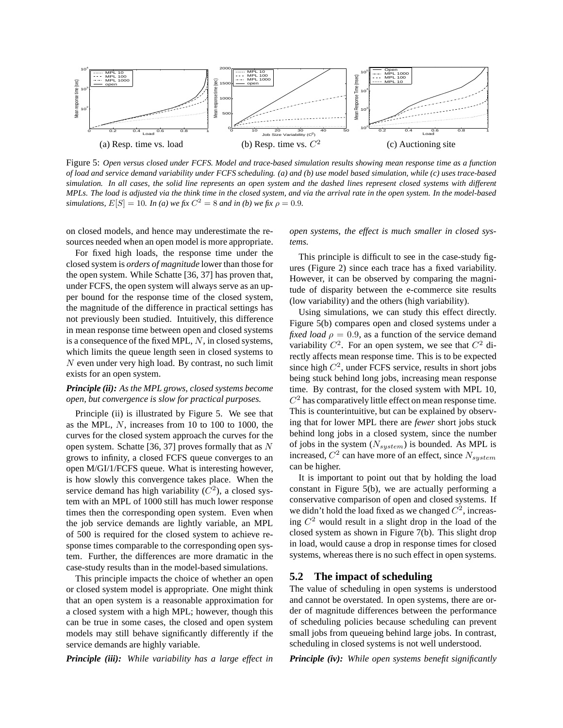

Figure 5: *Open versus closed under FCFS. Model and trace-based simulation results showing mean response time as a function of load and service demand variability under FCFS scheduling. (a) and (b) use model based simulation, while (c) uses trace-based simulation. In all cases, the solid line represents an open system and the dashed lines represent closed systems with different MPLs. The load is adjusted via the think time in the closed system, and via the arrival rate in the open system. In the model-based simulations,*  $E[S] = 10$ *. In (a) we fix*  $C^2 = 8$  *and in (b) we fix*  $\rho = 0.9$ *.* 

on closed models, and hence may underestimate the resources needed when an open model is more appropriate.

For fixed high loads, the response time under the closed system is *orders of magnitude* lower than those for the open system. While Schatte [36, 37] has proven that, under FCFS, the open system will always serve as an upper bound for the response time of the closed system, the magnitude of the difference in practical settings has not previously been studied. Intuitively, this difference in mean response time between open and closed systems is a consequence of the fixed MPL,  $N$ , in closed systems, which limits the queue length seen in closed systems to N even under very high load. By contrast, no such limit exists for an open system.

### *Principle (ii): As the MPL grows, closed systems become open, but convergence is slow for practical purposes.*

Principle (ii) is illustrated by Figure 5. We see that as the MPL, N, increases from 10 to 100 to 1000, the curves for the closed system approach the curves for the open system. Schatte [36, 37] proves formally that as N grows to infinity, a closed FCFS queue converges to an open M/GI/1/FCFS queue. What is interesting however, is how slowly this convergence takes place. When the service demand has high variability  $(\tilde{C}^2)$ , a closed system with an MPL of 1000 still has much lower response times then the corresponding open system. Even when the job service demands are lightly variable, an MPL of 500 is required for the closed system to achieve response times comparable to the corresponding open system. Further, the differences are more dramatic in the case-study results than in the model-based simulations.

This principle impacts the choice of whether an open or closed system model is appropriate. One might think that an open system is a reasonable approximation for a closed system with a high MPL; however, though this can be true in some cases, the closed and open system models may still behave significantly differently if the service demands are highly variable.

*Principle (iii): While variability has a large effect in*

*open systems, the effect is much smaller in closed systems.*

This principle is difficult to see in the case-study figures (Figure 2) since each trace has a fixed variability. However, it can be observed by comparing the magnitude of disparity between the e-commerce site results (low variability) and the others (high variability).

Using simulations, we can study this effect directly. Figure 5(b) compares open and closed systems under a *fixed load*  $\rho = 0.9$ , as a function of the service demand variability  $C^2$ . For an open system, we see that  $C^2$  directly affects mean response time. This is to be expected since high  $C^2$ , under FCFS service, results in short jobs being stuck behind long jobs, increasing mean response time. By contrast, for the closed system with MPL 10,  $C<sup>2</sup>$  has comparatively little effect on mean response time. This is counterintuitive, but can be explained by observing that for lower MPL there are *fewer* short jobs stuck behind long jobs in a closed system, since the number of jobs in the system  $(N_{system})$  is bounded. As MPL is increased,  $C^2$  can have more of an effect, since  $N_{system}$ can be higher.

It is important to point out that by holding the load constant in Figure 5(b), we are actually performing a conservative comparison of open and closed systems. If we didn't hold the load fixed as we changed  $C^2$ , increasing  $C^2$  would result in a slight drop in the load of the closed system as shown in Figure 7(b). This slight drop in load, would cause a drop in response times for closed systems, whereas there is no such effect in open systems.

#### **5.2 The impact of scheduling**

The value of scheduling in open systems is understood and cannot be overstated. In open systems, there are order of magnitude differences between the performance of scheduling policies because scheduling can prevent small jobs from queueing behind large jobs. In contrast, scheduling in closed systems is not well understood.

*Principle (iv): While open systems benefit significantly*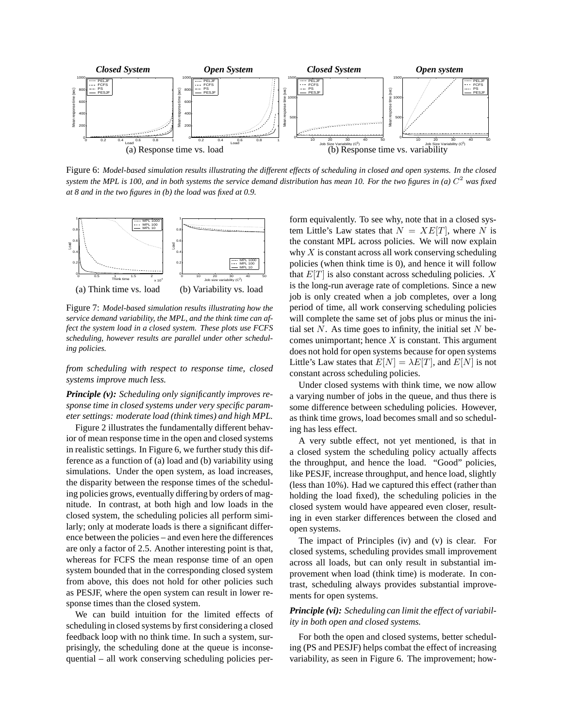

Figure 6: *Model-based simulation results illustrating the different effects of scheduling in closed and open systems. In the closed system the MPL is 100, and in both systems the service demand distribution has mean 10. For the two figures in (a)* C <sup>2</sup> *was fixed at 8 and in the two figures in (b) the load was fixed at 0.9.*



Figure 7: *Model-based simulation results illustrating how the service demand variability, the MPL, and the think time can affect the system load in a closed system. These plots use FCFS scheduling, however results are parallel under other scheduling policies.*

*from scheduling with respect to response time, closed systems improve much less.*

*Principle (v): Scheduling only significantly improves response time in closed systems under very specific parameter settings: moderate load (think times) and high MPL.*

Figure 2 illustrates the fundamentally different behavior of mean response time in the open and closed systems in realistic settings. In Figure 6, we further study this difference as a function of (a) load and (b) variability using simulations. Under the open system, as load increases, the disparity between the response times of the scheduling policies grows, eventually differing by orders of magnitude. In contrast, at both high and low loads in the closed system, the scheduling policies all perform similarly; only at moderate loads is there a significant difference between the policies – and even here the differences are only a factor of 2.5. Another interesting point is that, whereas for FCFS the mean response time of an open system bounded that in the corresponding closed system from above, this does not hold for other policies such as PESJF, where the open system can result in lower response times than the closed system.

We can build intuition for the limited effects of scheduling in closed systems by first considering a closed feedback loop with no think time. In such a system, surprisingly, the scheduling done at the queue is inconsequential – all work conserving scheduling policies perform equivalently. To see why, note that in a closed system Little's Law states that  $N = XE[T]$ , where N is the constant MPL across policies. We will now explain why  $X$  is constant across all work conserving scheduling policies (when think time is 0), and hence it will follow that  $E[T]$  is also constant across scheduling policies. X is the long-run average rate of completions. Since a new job is only created when a job completes, over a long period of time, all work conserving scheduling policies will complete the same set of jobs plus or minus the initial set  $N$ . As time goes to infinity, the initial set  $N$  becomes unimportant; hence  $X$  is constant. This argument does not hold for open systems because for open systems Little's Law states that  $E[N] = \lambda E[T]$ , and  $E[N]$  is not constant across scheduling policies.

Under closed systems with think time, we now allow a varying number of jobs in the queue, and thus there is some difference between scheduling policies. However, as think time grows, load becomes small and so scheduling has less effect.

A very subtle effect, not yet mentioned, is that in a closed system the scheduling policy actually affects the throughput, and hence the load. "Good" policies, like PESJF, increase throughput, and hence load, slightly (less than 10%). Had we captured this effect (rather than holding the load fixed), the scheduling policies in the closed system would have appeared even closer, resulting in even starker differences between the closed and open systems.

The impact of Principles (iv) and (v) is clear. For closed systems, scheduling provides small improvement across all loads, but can only result in substantial improvement when load (think time) is moderate. In contrast, scheduling always provides substantial improvements for open systems.

### *Principle (vi): Scheduling can limit the effect of variability in both open and closed systems.*

For both the open and closed systems, better scheduling (PS and PESJF) helps combat the effect of increasing variability, as seen in Figure 6. The improvement; how-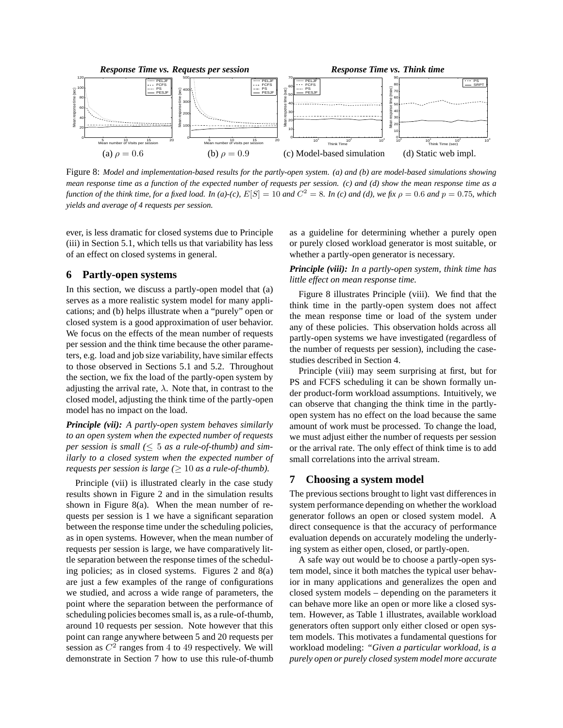

Figure 8: *Model and implementation-based results for the partly-open system. (a) and (b) are model-based simulations showing mean response time as a function of the expected number of requests per session. (c) and (d) show the mean response time as a function of the think time, for a fixed load. In (a)-(c),*  $E[S] = 10$  and  $C^2 = 8$ . In (c) and (d), we fix  $\rho = 0.6$  and  $p = 0.75$ , which *yields and average of 4 requests per session.*

ever, is less dramatic for closed systems due to Principle (iii) in Section 5.1, which tells us that variability has less of an effect on closed systems in general.

### **6 Partly-open systems**

In this section, we discuss a partly-open model that (a) serves as a more realistic system model for many applications; and (b) helps illustrate when a "purely" open or closed system is a good approximation of user behavior. We focus on the effects of the mean number of requests per session and the think time because the other parameters, e.g. load and job size variability, have similar effects to those observed in Sections 5.1 and 5.2. Throughout the section, we fix the load of the partly-open system by adjusting the arrival rate,  $\lambda$ . Note that, in contrast to the closed model, adjusting the think time of the partly-open model has no impact on the load.

*Principle (vii): A partly-open system behaves similarly to an open system when the expected number of requests per session is small (*≤ 5 *as a rule-of-thumb) and similarly to a closed system when the expected number of requests per session is large* ( $\geq 10$  *as a rule-of-thumb).* 

Principle (vii) is illustrated clearly in the case study results shown in Figure 2 and in the simulation results shown in Figure 8(a). When the mean number of requests per session is 1 we have a significant separation between the response time under the scheduling policies, as in open systems. However, when the mean number of requests per session is large, we have comparatively little separation between the response times of the scheduling policies; as in closed systems. Figures 2 and 8(a) are just a few examples of the range of configurations we studied, and across a wide range of parameters, the point where the separation between the performance of scheduling policies becomes small is, as a rule-of-thumb, around 10 requests per session. Note however that this point can range anywhere between 5 and 20 requests per session as  $C^2$  ranges from 4 to 49 respectively. We will demonstrate in Section 7 how to use this rule-of-thumb as a guideline for determining whether a purely open or purely closed workload generator is most suitable, or whether a partly-open generator is necessary.

### *Principle (viii): In a partly-open system, think time has little effect on mean response time.*

Figure 8 illustrates Principle (viii). We find that the think time in the partly-open system does not affect the mean response time or load of the system under any of these policies. This observation holds across all partly-open systems we have investigated (regardless of the number of requests per session), including the casestudies described in Section 4.

Principle (viii) may seem surprising at first, but for PS and FCFS scheduling it can be shown formally under product-form workload assumptions. Intuitively, we can observe that changing the think time in the partlyopen system has no effect on the load because the same amount of work must be processed. To change the load, we must adjust either the number of requests per session or the arrival rate. The only effect of think time is to add small correlations into the arrival stream.

### **7 Choosing a system model**

The previous sections brought to light vast differences in system performance depending on whether the workload generator follows an open or closed system model. A direct consequence is that the accuracy of performance evaluation depends on accurately modeling the underlying system as either open, closed, or partly-open.

A safe way out would be to choose a partly-open system model, since it both matches the typical user behavior in many applications and generalizes the open and closed system models – depending on the parameters it can behave more like an open or more like a closed system. However, as Table 1 illustrates, available workload generators often support only either closed or open system models. This motivates a fundamental questions for workload modeling: *"Given a particular workload, is a purely open or purely closed system model more accurate*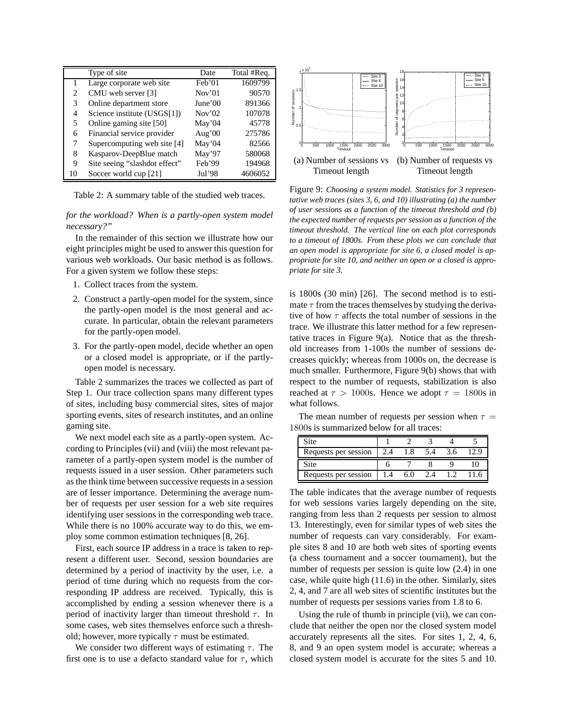|    | Type of site                  | Date              | Total #Req. |
|----|-------------------------------|-------------------|-------------|
|    | Large corporate web site      | Feb'01            | 1609799     |
| 2  | CMU web server [3]            | Nov <sup>01</sup> | 90570       |
| 3  | Online department store       | June'00           | 891366      |
| 4  | Science institute (USGS[1])   | Nov'02            | 107078      |
| 5  | Online gaming site [50]       | May'04            | 45778       |
| 6  | Financial service provider    | Aug' $00$         | 275786      |
| 7  | Supercomputing web site [4]   | May'04            | 82566       |
| 8  | Kasparov-DeepBlue match       | May'97            | 580068      |
| 9  | Site seeing "slashdot effect" | Feb'99            | 194968      |
| 10 | Soccer world cup [21]         | Jul'98            | 4606052     |

Table 2: A summary table of the studied web traces.

*for the workload? When is a partly-open system model necessary?"*

In the remainder of this section we illustrate how our eight principles might be used to answer this question for various web workloads. Our basic method is as follows. For a given system we follow these steps:

- 1. Collect traces from the system.
- 2. Construct a partly-open model for the system, since the partly-open model is the most general and accurate. In particular, obtain the relevant parameters for the partly-open model.
- 3. For the partly-open model, decide whether an open or a closed model is appropriate, or if the partlyopen model is necessary.

Table 2 summarizes the traces we collected as part of Step 1. Our trace collection spans many different types of sites, including busy commercial sites, sites of major sporting events, sites of research institutes, and an online gaming site.

We next model each site as a partly-open system. According to Principles (vii) and (viii) the most relevant parameter of a partly-open system model is the number of requests issued in a user session. Other parameters such as the think time between successive requests in a session are of lesser importance. Determining the average number of requests per user session for a web site requires identifying user sessions in the corresponding web trace. While there is no 100% accurate way to do this, we employ some common estimation techniques [8, 26].

First, each source IP address in a trace is taken to represent a different user. Second, session boundaries are determined by a period of inactivity by the user, i.e. a period of time during which no requests from the corresponding IP address are received. Typically, this is accomplished by ending a session whenever there is a period of inactivity larger than timeout threshold  $\tau$ . In some cases, web sites themselves enforce such a threshold; however, more typically  $\tau$  must be estimated.

We consider two different ways of estimating  $\tau$ . The first one is to use a defacto standard value for  $\tau$ , which



Figure 9: *Choosing a system model. Statistics for 3 representative web traces (sites 3, 6, and 10) illustrating (a) the number of user sessions as a function of the timeout threshold and (b) the expected number of requests per session as a function of the timeout threshold. The vertical line on each plot corresponds to a timeout of 1800s. From these plots we can conclude that an open model is appropriate for site 6, a closed model is appropriate for site 10, and neither an open or a closed is appropriate for site 3.*

is 1800s (30 min) [26]. The second method is to estimate  $\tau$  from the traces themselves by studying the derivative of how  $\tau$  affects the total number of sessions in the trace. We illustrate this latter method for a few representative traces in Figure  $9(a)$ . Notice that as the threshold increases from 1-100s the number of sessions decreases quickly; whereas from 1000s on, the decrease is much smaller. Furthermore, Figure 9(b) shows that with respect to the number of requests, stabilization is also reached at  $\tau > 1000$ s. Hence we adopt  $\tau = 1800$ s in what follows.

The mean number of requests per session when  $\tau =$ 1800s is summarized below for all traces:

| Site                 |     |     |     |  |
|----------------------|-----|-----|-----|--|
| Requests per session | 2.4 | 5.4 | 3.6 |  |
| Site                 |     |     |     |  |
|                      |     |     |     |  |

The table indicates that the average number of requests for web sessions varies largely depending on the site, ranging from less than 2 requests per session to almost 13. Interestingly, even for similar types of web sites the number of requests can vary considerably. For example sites 8 and 10 are both web sites of sporting events (a chess tournament and a soccer tournament), but the number of requests per session is quite low (2.4) in one case, while quite high (11.6) in the other. Similarly, sites 2, 4, and 7 are all web sites of scientific institutes but the number of requests per sessions varies from 1.8 to 6.

Using the rule of thumb in principle (vii), we can conclude that neither the open nor the closed system model accurately represents all the sites. For sites 1, 2, 4, 6, 8, and 9 an open system model is accurate; whereas a closed system model is accurate for the sites 5 and 10.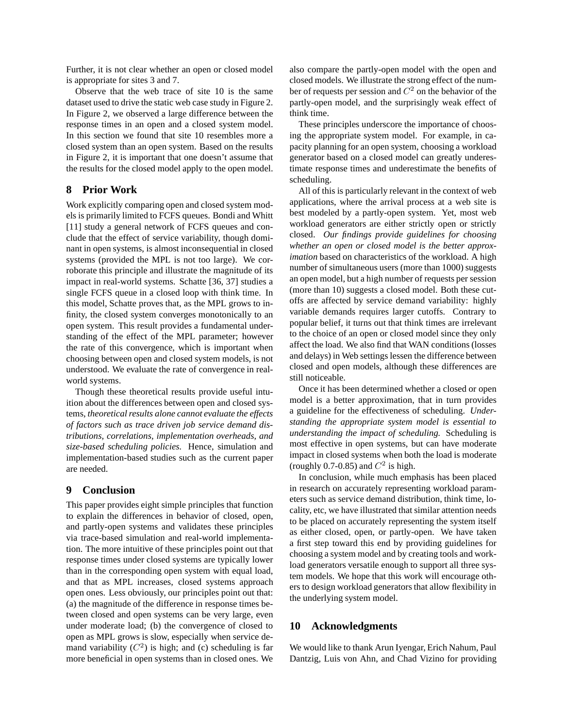Further, it is not clear whether an open or closed model is appropriate for sites 3 and 7.

Observe that the web trace of site 10 is the same dataset used to drive the static web case study in Figure 2. In Figure 2, we observed a large difference between the response times in an open and a closed system model. In this section we found that site 10 resembles more a closed system than an open system. Based on the results in Figure 2, it is important that one doesn't assume that the results for the closed model apply to the open model.

# **8 Prior Work**

Work explicitly comparing open and closed system models is primarily limited to FCFS queues. Bondi and Whitt [11] study a general network of FCFS queues and conclude that the effect of service variability, though dominant in open systems, is almost inconsequential in closed systems (provided the MPL is not too large). We corroborate this principle and illustrate the magnitude of its impact in real-world systems. Schatte [36, 37] studies a single FCFS queue in a closed loop with think time. In this model, Schatte proves that, as the MPL grows to infinity, the closed system converges monotonically to an open system. This result provides a fundamental understanding of the effect of the MPL parameter; however the rate of this convergence, which is important when choosing between open and closed system models, is not understood. We evaluate the rate of convergence in realworld systems.

Though these theoretical results provide useful intuition about the differences between open and closed systems, *theoretical results alone cannot evaluate the effects of factors such as trace driven job service demand distributions, correlations, implementation overheads, and size-based scheduling policies.* Hence, simulation and implementation-based studies such as the current paper are needed.

# **9 Conclusion**

This paper provides eight simple principles that function to explain the differences in behavior of closed, open, and partly-open systems and validates these principles via trace-based simulation and real-world implementation. The more intuitive of these principles point out that response times under closed systems are typically lower than in the corresponding open system with equal load, and that as MPL increases, closed systems approach open ones. Less obviously, our principles point out that: (a) the magnitude of the difference in response times between closed and open systems can be very large, even under moderate load; (b) the convergence of closed to open as MPL grows is slow, especially when service demand variability  $(C^2)$  is high; and (c) scheduling is far more beneficial in open systems than in closed ones. We also compare the partly-open model with the open and closed models. We illustrate the strong effect of the number of requests per session and  $C^2$  on the behavior of the partly-open model, and the surprisingly weak effect of think time.

These principles underscore the importance of choosing the appropriate system model. For example, in capacity planning for an open system, choosing a workload generator based on a closed model can greatly underestimate response times and underestimate the benefits of scheduling.

All of this is particularly relevant in the context of web applications, where the arrival process at a web site is best modeled by a partly-open system. Yet, most web workload generators are either strictly open or strictly closed. *Our findings provide guidelines for choosing whether an open or closed model is the better approximation* based on characteristics of the workload. A high number of simultaneous users (more than 1000) suggests an open model, but a high number of requests per session (more than 10) suggests a closed model. Both these cutoffs are affected by service demand variability: highly variable demands requires larger cutoffs. Contrary to popular belief, it turns out that think times are irrelevant to the choice of an open or closed model since they only affect the load. We also find that WAN conditions (losses and delays) in Web settings lessen the difference between closed and open models, although these differences are still noticeable.

Once it has been determined whether a closed or open model is a better approximation, that in turn provides a guideline for the effectiveness of scheduling. *Understanding the appropriate system model is essential to understanding the impact of scheduling.* Scheduling is most effective in open systems, but can have moderate impact in closed systems when both the load is moderate (roughly 0.7-0.85) and  $C^2$  is high.

In conclusion, while much emphasis has been placed in research on accurately representing workload parameters such as service demand distribution, think time, locality, etc, we have illustrated that similar attention needs to be placed on accurately representing the system itself as either closed, open, or partly-open. We have taken a first step toward this end by providing guidelines for choosing a system model and by creating tools and workload generators versatile enough to support all three system models. We hope that this work will encourage others to design workload generators that allow flexibility in the underlying system model.

### **10 Acknowledgments**

We would like to thank Arun Iyengar, Erich Nahum, Paul Dantzig, Luis von Ahn, and Chad Vizino for providing